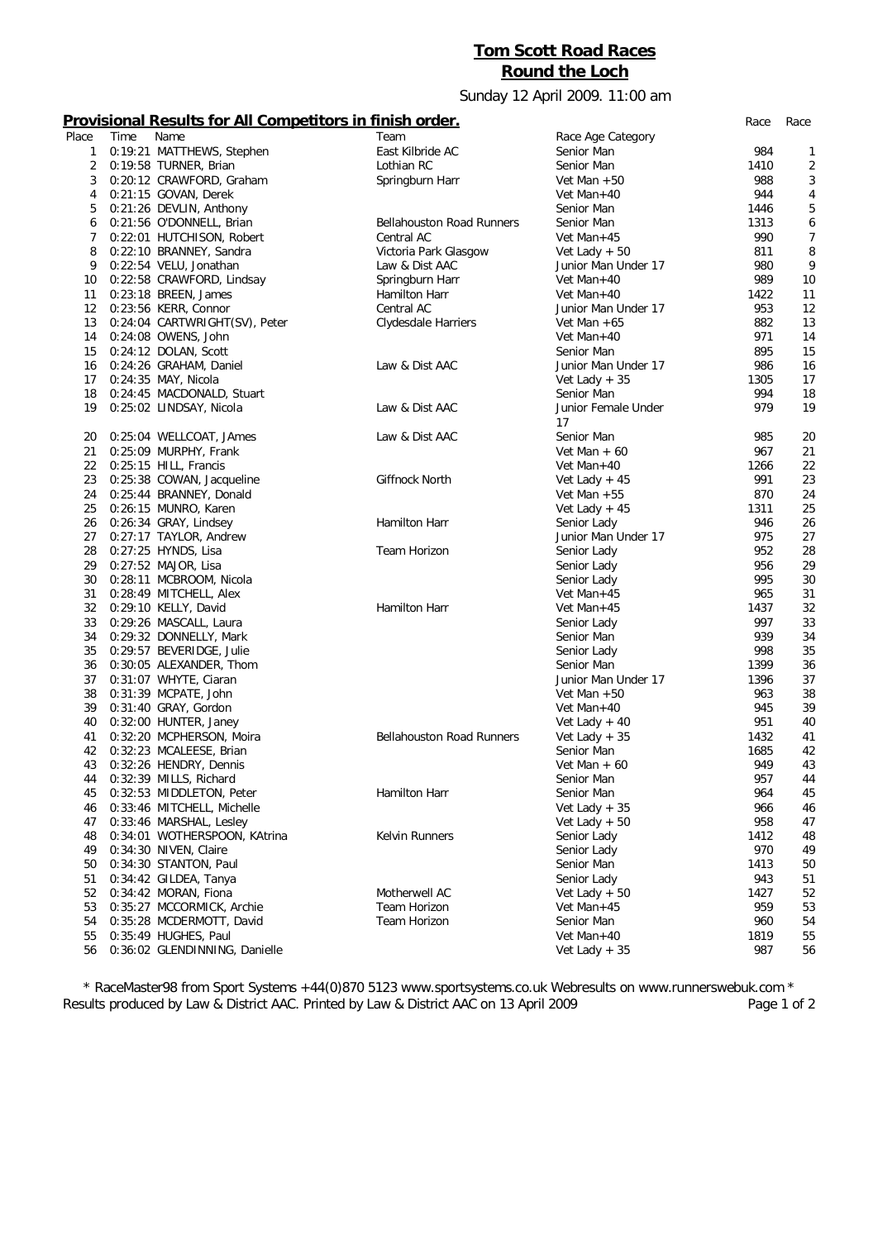## **Tom Scott Road Races Round the Loch**

## Sunday 12 April 2009. 11:00 am

## **Provisional Results for All Competitors in finish order.** *Race Race*

| Place          | Time | Name                          | Team                             | Race Age Category   |      |                |
|----------------|------|-------------------------------|----------------------------------|---------------------|------|----------------|
| 1              |      | 0:19:21 MATTHEWS, Stephen     | East Kilbride AC                 | Senior Man          | 984  | 1              |
| 2              |      | 0:19:58 TURNER, Brian         | Lothian RC                       | Senior Man          | 1410 | $\overline{2}$ |
| 3              |      | 0:20:12 CRAWFORD, Graham      | Springburn Harr                  | Vet Man $+50$       | 988  | 3              |
| 4              |      | 0:21:15 GOVAN, Derek          |                                  | Vet Man+40          | 944  | 4              |
|                |      |                               |                                  |                     |      |                |
| 5              |      | 0:21:26 DEVLIN, Anthony       |                                  | Senior Man          | 1446 | 5              |
| 6              |      | 0:21:56 O'DONNELL, Brian      | <b>Bellahouston Road Runners</b> | Senior Man          | 1313 | 6              |
| $\overline{7}$ |      | 0:22:01 HUTCHISON, Robert     | Central AC                       | Vet Man+45          | 990  | $\overline{7}$ |
| 8              |      | 0:22:10 BRANNEY, Sandra       | Victoria Park Glasgow            | Vet Lady $+50$      | 811  | 8              |
| 9              |      | 0:22:54 VELU, Jonathan        | Law & Dist AAC                   | Junior Man Under 17 | 980  | 9              |
| 10             |      | 0:22:58 CRAWFORD, Lindsay     | Springburn Harr                  | Vet Man+40          | 989  | 10             |
| 11             |      | 0:23:18 BREEN, James          | Hamilton Harr                    | Vet Man $+40$       | 1422 | 11             |
| 12             |      | 0:23:56 KERR, Connor          | Central AC                       | Junior Man Under 17 | 953  | 12             |
| 13             |      | 0:24:04 CARTWRIGHT(SV), Peter | Clydesdale Harriers              | Vet Man $+65$       | 882  | 13             |
| 14             |      |                               |                                  | Vet Man+40          | 971  | 14             |
|                |      | 0:24:08 OWENS, John           |                                  |                     |      |                |
| 15             |      | 0:24:12 DOLAN, Scott          |                                  | Senior Man          | 895  | 15             |
| 16             |      | 0:24:26 GRAHAM, Daniel        | Law & Dist AAC                   | Junior Man Under 17 | 986  | 16             |
| 17             |      | 0:24:35 MAY, Nicola           |                                  | Vet Lady $+35$      | 1305 | 17             |
| 18             |      | 0:24:45 MACDONALD, Stuart     |                                  | Senior Man          | 994  | 18             |
| 19             |      | 0:25:02 LINDSAY, Nicola       | Law & Dist AAC                   | Junior Female Under | 979  | 19             |
|                |      |                               |                                  | 17                  |      |                |
| 20             |      | 0:25:04 WELLCOAT, JAmes       | Law & Dist AAC                   | Senior Man          | 985  | 20             |
| 21             |      | 0:25:09 MURPHY, Frank         |                                  | Vet Man $+60$       | 967  | 21             |
| 22             |      |                               |                                  | Vet Man+40          | 1266 | 22             |
|                |      | 0:25:15 HILL, Francis         |                                  |                     |      |                |
| 23             |      | 0:25:38 COWAN, Jacqueline     | Giffnock North                   | Vet Lady $+45$      | 991  | 23             |
| 24             |      | 0:25:44 BRANNEY, Donald       |                                  | Vet Man $+55$       | 870  | 24             |
| 25             |      | 0:26:15 MUNRO, Karen          |                                  | Vet Lady $+45$      | 1311 | 25             |
| 26             |      | 0:26:34 GRAY, Lindsey         | Hamilton Harr                    | Senior Lady         | 946  | 26             |
| 27             |      | 0:27:17 TAYLOR, Andrew        |                                  | Junior Man Under 17 | 975  | 27             |
| 28             |      | 0:27:25 HYNDS, Lisa           | Team Horizon                     | Senior Lady         | 952  | 28             |
| 29             |      | 0:27:52 MAJOR, Lisa           |                                  | Senior Lady         | 956  | 29             |
| 30             |      | 0:28:11 MCBROOM, Nicola       |                                  | Senior Lady         | 995  | 30             |
| 31             |      | 0:28:49 MITCHELL, Alex        |                                  | Vet Man+45          | 965  | 31             |
| 32             |      |                               | Hamilton Harr                    |                     | 1437 | 32             |
|                |      | 0:29:10 KELLY, David          |                                  | Vet Man+45          |      |                |
| 33             |      | 0:29:26 MASCALL, Laura        |                                  | Senior Lady         | 997  | 33             |
| 34             |      | 0:29:32 DONNELLY, Mark        |                                  | Senior Man          | 939  | 34             |
| 35             |      | 0:29:57 BEVERIDGE, Julie      |                                  | Senior Lady         | 998  | 35             |
| 36             |      | 0:30:05 ALEXANDER, Thom       |                                  | Senior Man          | 1399 | 36             |
| 37             |      | 0:31:07 WHYTE, Ciaran         |                                  | Junior Man Under 17 | 1396 | 37             |
| 38             |      | 0:31:39 MCPATE, John          |                                  | Vet Man $+50$       | 963  | 38             |
| 39             |      | 0:31:40 GRAY, Gordon          |                                  | Vet Man+40          | 945  | 39             |
| 40             |      | 0:32:00 HUNTER, Janey         |                                  | Vet Lady $+40$      | 951  | 40             |
| 41             |      | 0:32:20 MCPHERSON, Moira      | <b>Bellahouston Road Runners</b> | Vet Lady $+35$      | 1432 | 41             |
| 42             |      | 0:32:23 MCALEESE, Brian       |                                  | Senior Man          | 1685 | 42             |
|                |      |                               |                                  |                     |      |                |
| 43             |      | 0:32:26 HENDRY, Dennis        |                                  | Vet Man $+60$       | 949  | 43             |
| 44             |      | 0:32:39 MILLS, Richard        |                                  | Senior Man          | 957  | 44             |
| 45             |      | 0:32:53 MIDDLETON, Peter      | Hamilton Harr                    | Senior Man          | 964  | 45             |
| 46             |      | 0:33:46 MITCHELL, Michelle    |                                  | Vet Lady $+35$      | 966  | 46             |
| 47             |      | 0:33:46 MARSHAL, Lesley       |                                  | Vet Lady $+50$      | 958  | 47             |
| 48             |      | 0:34:01 WOTHERSPOON, KAtrina  | Kelvin Runners                   | Senior Lady         | 1412 | 48             |
| 49             |      | 0:34:30 NIVEN, Claire         |                                  | Senior Lady         | 970  | 49             |
| 50             |      | 0:34:30 STANTON, Paul         |                                  | Senior Man          | 1413 | 50             |
| 51             |      | 0:34:42 GILDEA, Tanya         |                                  | Senior Lady         | 943  | 51             |
| 52             |      | 0:34:42 MORAN, Fiona          | Motherwell AC                    | Vet Lady $+50$      | 1427 | 52             |
|                |      |                               |                                  |                     |      |                |
| 53             |      | 0:35:27 MCCORMICK, Archie     | Team Horizon                     | Vet Man+45          | 959  | 53             |
| 54             |      | 0:35:28 MCDERMOTT, David      | Team Horizon                     | Senior Man          | 960  | 54             |
| 55             |      | 0:35:49 HUGHES, Paul          |                                  | Vet Man+40          | 1819 | 55             |
| 56             |      | 0:36:02 GLENDINNING, Danielle |                                  | Vet Lady $+35$      | 987  | 56             |

*\* RaceMaster98 from Sport Systems +44(0)870 5123 www.sportsystems.co.uk Webresults on www.runnerswebuk.com \** Results produced by Law & District AAC. Printed by Law & District AAC on 13 April 2009 Page 1 of 2